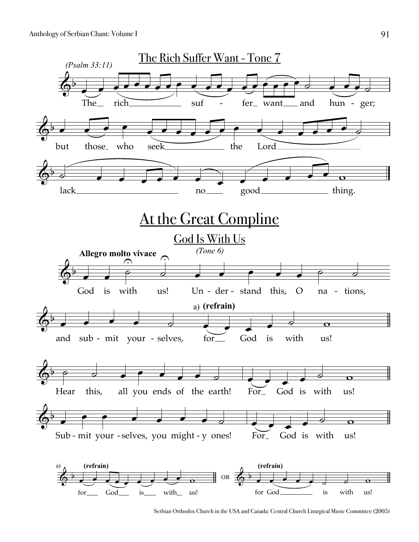

Serbian Orthodox Church in the USA and Canada: Central Church Liturgical Music Committee (2005)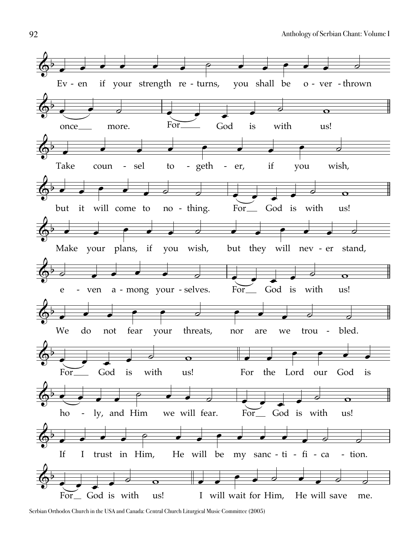

Serbian Orthodox Church in the USA and Canada: Central Church Liturgical Music Committee (2005)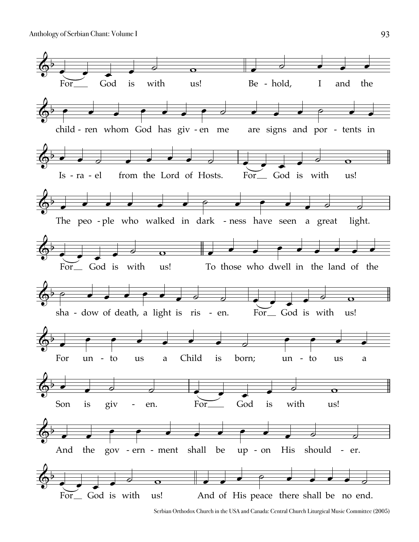

Serbian Orthodox Church in the USA and Canada: Central Church Liturgical Music Committee (2005)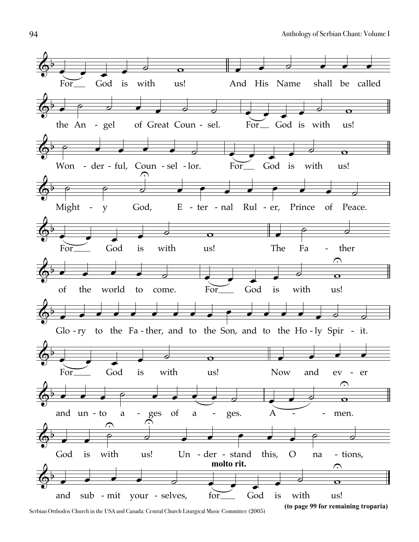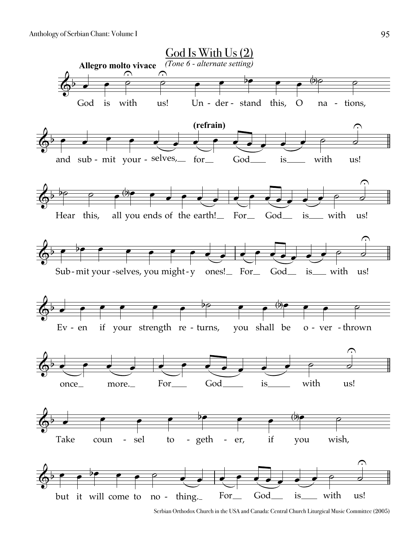

Serbian Orthodox Church in the USA and Canada: Central Church Liturgical Music Committee (2005)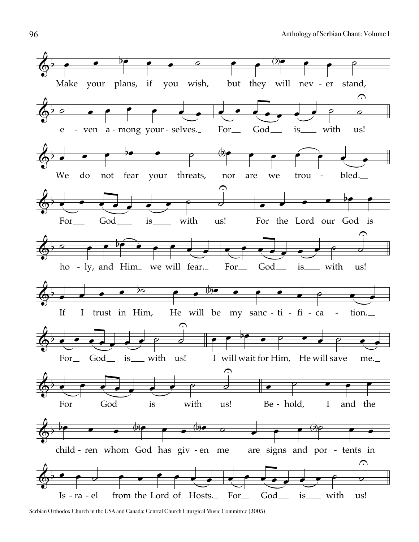![](_page_5_Figure_1.jpeg)

Serbian Orthodox Church in the USA and Canada: Central Church Liturgical Music Committee (2005)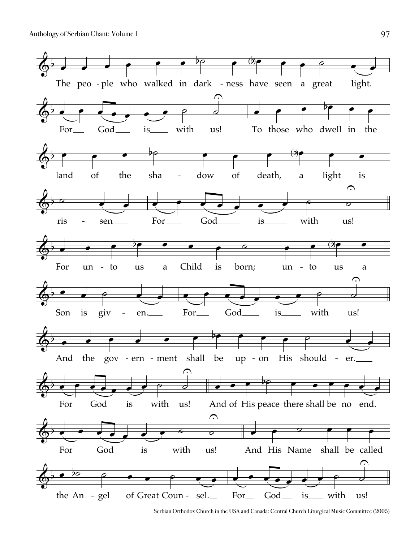![](_page_6_Figure_1.jpeg)

Serbian Orthodox Church in the USA and Canada: Central Church Liturgical Music Committee (2005)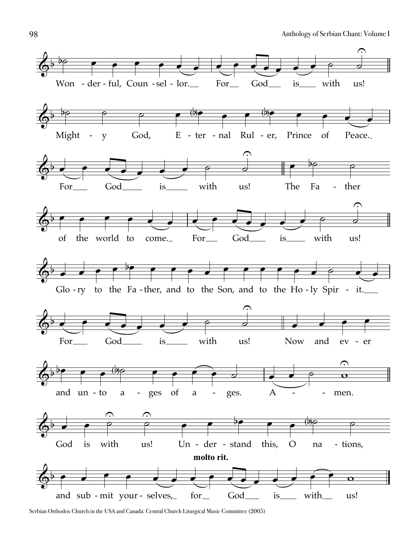![](_page_7_Figure_1.jpeg)

Serbian Orthodox Church in the USA and Canada: Central Church Liturgical Music Committee (2005)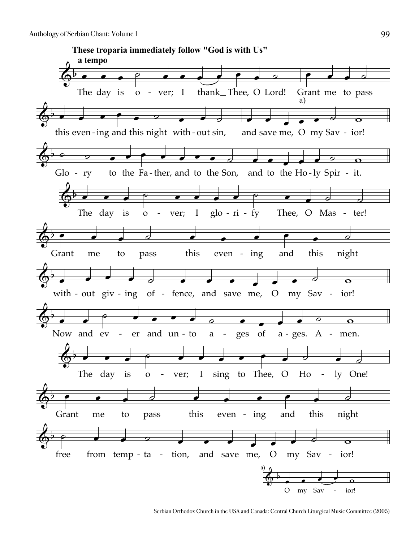![](_page_8_Picture_1.jpeg)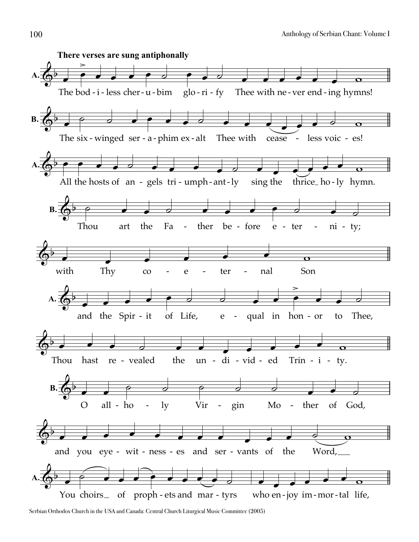![](_page_9_Figure_1.jpeg)

Serbian Orthodox Church in the USA and Canada: Central Church Liturgical Music Committee (2005)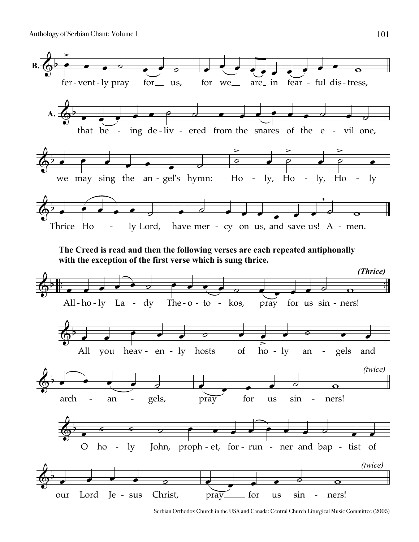![](_page_10_Figure_1.jpeg)

![](_page_10_Figure_2.jpeg)

![](_page_10_Figure_3.jpeg)

Serbian Orthodox Church in the USA and Canada: Central Church Liturgical Music Committee (2005)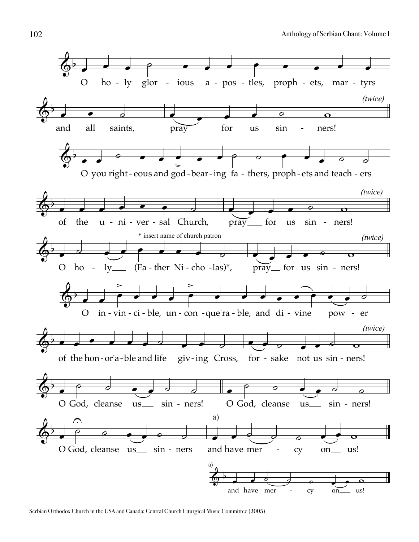![](_page_11_Figure_1.jpeg)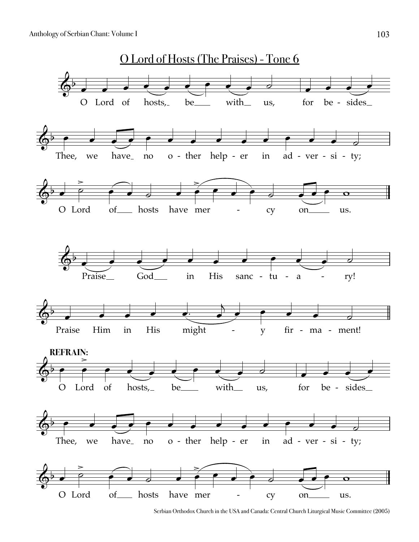![](_page_12_Figure_1.jpeg)

Serbian Orthodox Church in the USA and Canada: Central Church Liturgical Music Committee (2005)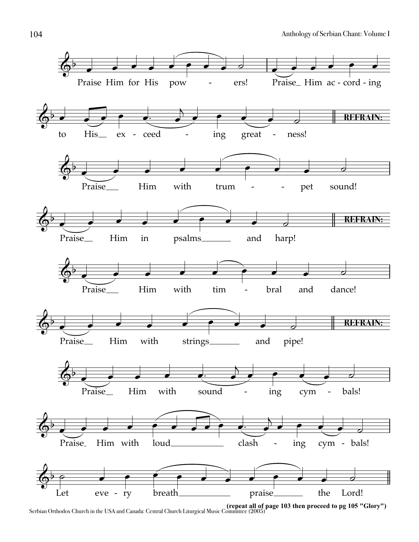![](_page_13_Figure_1.jpeg)

**<sup>(</sup>repeat all of page 103 then proceed to pg 105 "Glory")** Serbian Orthodox Church in the USA and Canada: Central Church Liturgical Music Committee (2005)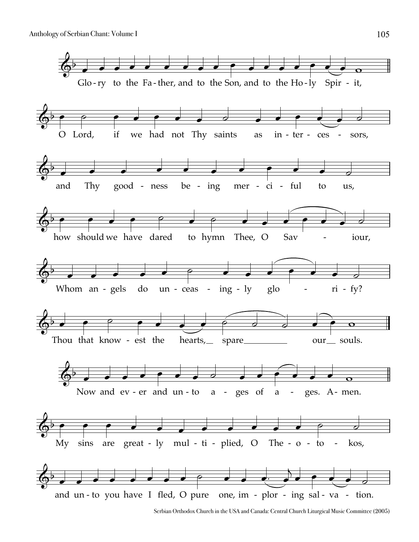![](_page_14_Figure_1.jpeg)

Serbian Orthodox Church in the USA and Canada: Central Church Liturgical Music Committee (2005)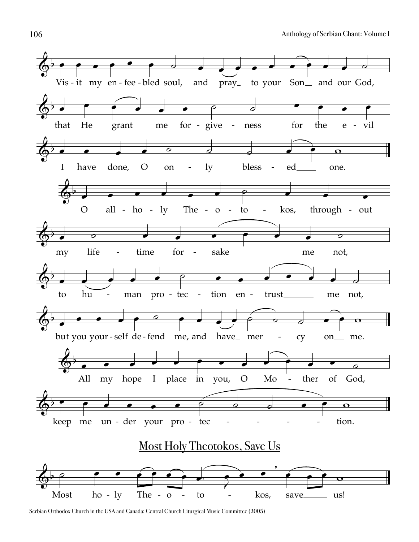![](_page_15_Figure_1.jpeg)

Serbian Orthodox Church in the USA and Canada: Central Church Liturgical Music Committee (2005)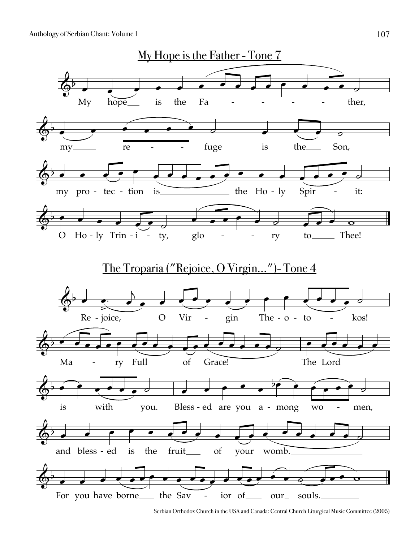Anthology of Serbian Chant: Volume I 107

![](_page_16_Figure_1.jpeg)

Serbian Orthodox Church in the USA and Canada: Central Church Liturgical Music Committee (2005)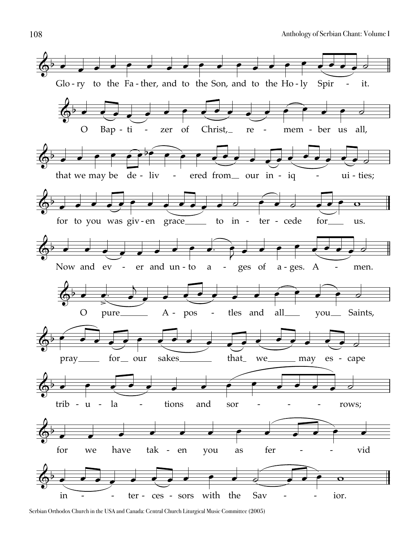![](_page_17_Figure_1.jpeg)

Serbian Orthodox Church in the USA and Canada: Central Church Liturgical Music Committee (2005)